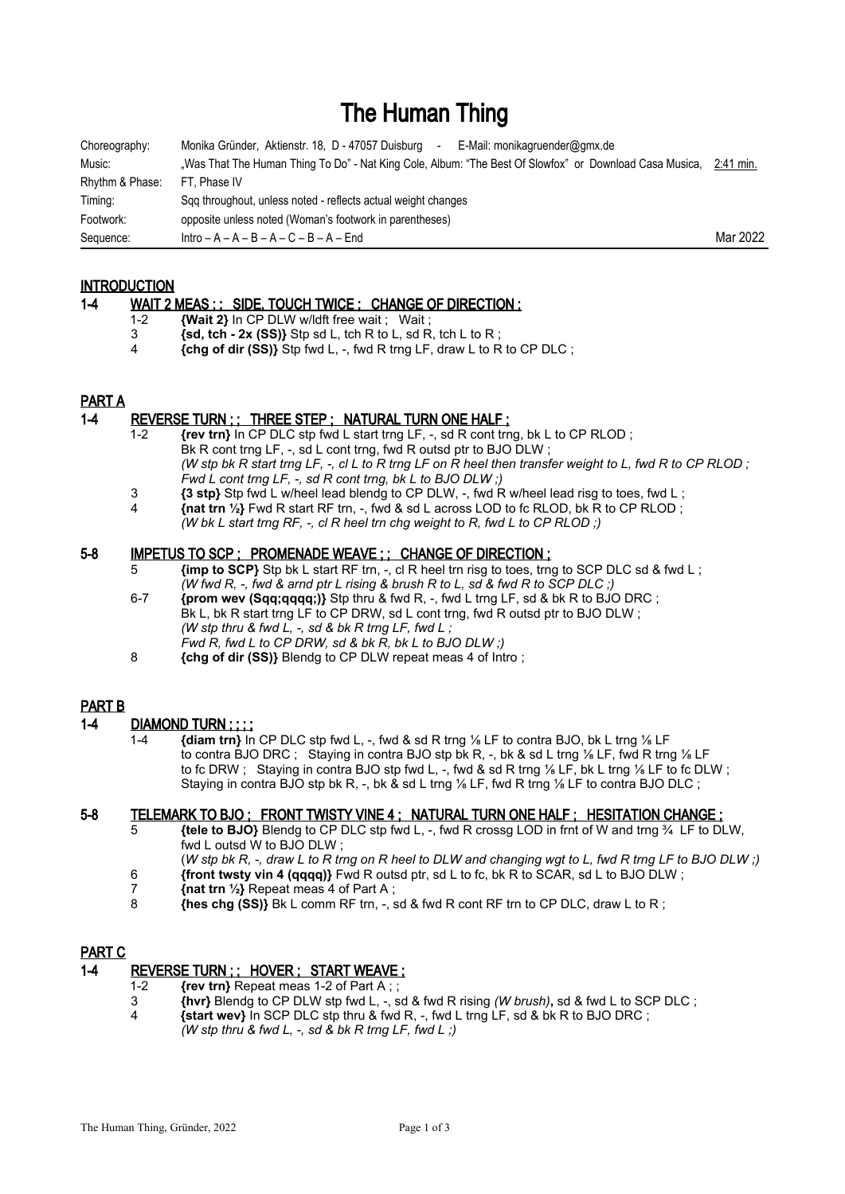# The Human Thing

| Choreography:   | Monika Gründer, Aktienstr. 18, D - 47057 Duisburg<br>E-Mail: monikagruender@gmx.de<br>$\sim$            |           |
|-----------------|---------------------------------------------------------------------------------------------------------|-----------|
| Music:          | "Was That The Human Thing To Do" - Nat King Cole, Album: "The Best Of Slowfox" or Download Casa Musica, | 2:41 min. |
| Rhythm & Phase: | FT. Phase IV                                                                                            |           |
| Timing:         | Sqq throughout, unless noted - reflects actual weight changes                                           |           |
| Footwork:       | opposite unless noted (Woman's footwork in parentheses)                                                 |           |
| Sequence:       | $Intro - A - A - B - A - C - B - A - End$                                                               | Mar 2022  |

# INTRODUCTION

#### 1-4 WAIT 2 MEAS ; ; SIDE, TOUCH TWICE ; CHANGE OF DIRECTION ;

- 1-2 **{Wait 2}** In CP DLW w/ldft free wait ; Wait ;<br>3 **{sd. tch 2x (SS)}** Stp sd L, tch R to L, sd R
- $\{sd, \text{tch} 2x \text{ (SS)}\}$  Stp sd L, tch R to L, sd R, tch L to R;
- 4 **{chg of dir (SS)}** Stp fwd L, -, fwd R trng LF, draw L to R to CP DLC ;

# PART A

## 1-4 REVERSE TURN ; ; THREE STEP ; NATURAL TURN ONE HALF ;

- 1-2 **{rev trn}** In CP DLC stp fwd L start trng LF, -, sd R cont trng, bk L to CP RLOD ; Bk R cont trng LF, -, sd L cont trng, fwd R outsd ptr to BJO DLW; *(W stp bk R start trng LF, -, cl L to R trng LF on R heel then transfer weight to L, fwd R to CP RLOD ; Fwd L cont trng LF, -, sd R cont trng, bk L to BJO DLW ;)*
- 3 **{3 stp}** Stp fwd L w/heel lead blendg to CP DLW, -, fwd R w/heel lead risg to toes, fwd L ;
- 4 **{nat trn ½}** Fwd R start RF trn, -, fwd & sd L across LOD to fc RLOD, bk R to CP RLOD ; *(W bk L start trng RF, -, cl R heel trn chg weight to R, fwd L to CP RLOD ;)*

## 5-8 IMPETUS TO SCP; PROMENADE WEAVE;; CHANGE OF DIRECTION;

- 5 **{imp to SCP}** Stp bk L start RF trn, -, cl R heel trn risg to toes, trng to SCP DLC sd & fwd L ; *(W fwd R, -, fwd & arnd ptr L rising & brush R to L, sd & fwd R to SCP DLC ;)*
- 6-7 **{prom wev (Sqq;qqqq;)}** Stp thru & fwd R, -, fwd L trng LF, sd & bk R to BJO DRC ;  $Bk$  L, bk R start trng LF to CP DRW, sd L cont trng, fwd R outsd ptr to BJO DLW; *(W stp thru & fwd L, -, sd & bk R trng LF, fwd L ; Fwd R, fwd L to CP DRW, sd & bk R, bk L to BJO DLW ;)*
- 8 **{chg of dir (SS)}** Blendg to CP DLW repeat meas 4 of Intro ;

# PART B

# 1-4 DIAMOND TURN ; ; ; ;

 1-4 **{diam trn}** In CP DLC stp fwd L, -, fwd & sd R trng ⅛ LF to contra BJO, bk L trng ⅛ LF to contra BJO DRC ; Staying in contra BJO stp bk R, -, bk & sd L trng ⅛ LF, fwd R trng ⅛ LF to fc DRW ; Staying in contra BJO stp fwd L, -, fwd & sd R trng 1/8 LF, bk L trng 1/8 LF to fc DLW ; Staying in contra BJO stp bk R, -, bk  $\&$  sd L trng  $\frac{1}{6}$  LF, fwd R trng  $\frac{1}{6}$  LF to contra BJO DLC ;

# 5-8 TELEMARK TO BJO ; FRONT TWISTY VINE 4 ; NATURAL TURN ONE HALF ; HESITATION CHANGE ;

- 5 **{tele to BJO}** Blendg to CP DLC stp fwd L, -, fwd R crossg LOD in frnt of W and trng ¾ LF to DLW, fwd L outsd W to BJO DLW ;
- (*W stp bk R, -, draw L to R trng on R heel to DLW and changing wgt to L, fwd R trng LF to BJO DLW ;)* 6 **{front twsty vin 4 (qqqq)}** Fwd R outsd ptr, sd L to fc, bk R to SCAR, sd L to BJO DLW ;
- 7 **{nat trn ½}** Repeat meas 4 of Part A ;
- 8 **{hes chg (SS)}** Bk L comm RF trn, -, sd & fwd R cont RF trn to CP DLC, draw L to R ;

#### PART C

# 1-4 REVERSE TURN ;; HOVER ; START WEAVE ;

- 
- 1-2 **{rev trn}** Repeat meas 1-2 of Part A ; ; 3 **{hvr}** Blendg to CP DLW stp fwd L, -, sd & fwd R rising *(W brush)***,** sd & fwd L to SCP DLC ;
- 4 **{start wev}** In SCP DLC stp thru & fwd R, -, fwd L trng LF, sd & bk R to BJO DRC ; *(W stp thru & fwd L, -, sd & bk R trng LF, fwd L ;)*